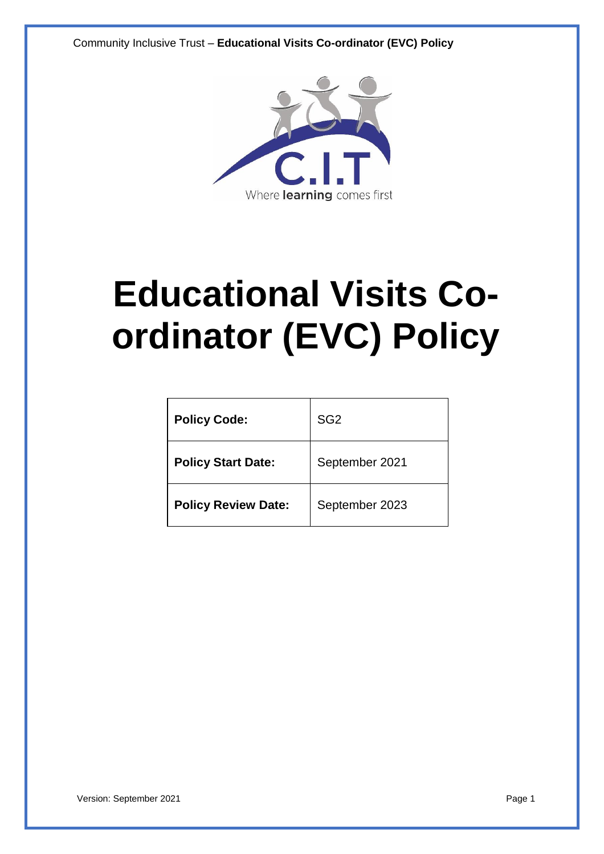

# **Educational Visits Coordinator (EVC) Policy**

| <b>Policy Code:</b>        | SG <sub>2</sub> |
|----------------------------|-----------------|
| <b>Policy Start Date:</b>  | September 2021  |
| <b>Policy Review Date:</b> | September 2023  |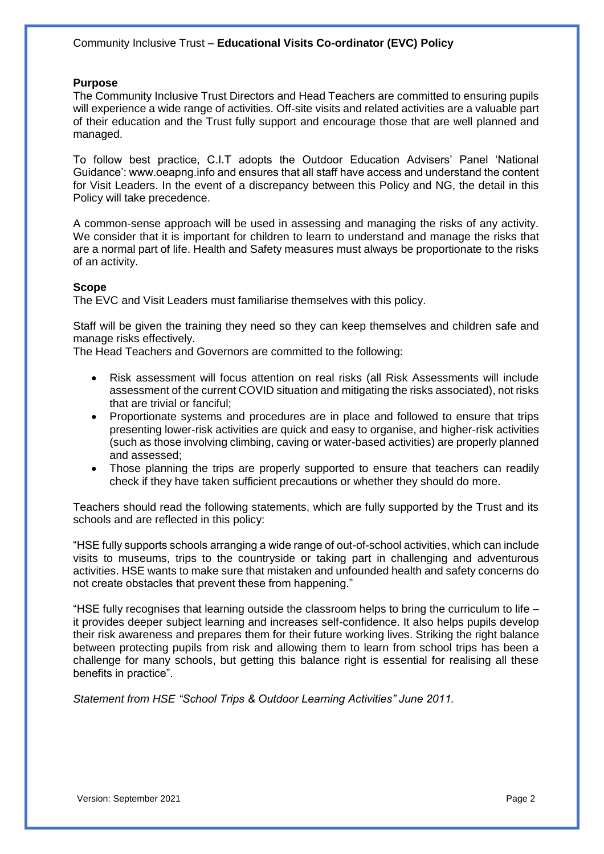#### **Purpose**

The Community Inclusive Trust Directors and Head Teachers are committed to ensuring pupils will experience a wide range of activities. Off-site visits and related activities are a valuable part of their education and the Trust fully support and encourage those that are well planned and managed.

To follow best practice, C.I.T adopts the Outdoor Education Advisers' Panel 'National Guidance': www.oeapng.info and ensures that all staff have access and understand the content for Visit Leaders. In the event of a discrepancy between this Policy and NG, the detail in this Policy will take precedence.

A common-sense approach will be used in assessing and managing the risks of any activity. We consider that it is important for children to learn to understand and manage the risks that are a normal part of life. Health and Safety measures must always be proportionate to the risks of an activity.

#### **Scope**

The EVC and Visit Leaders must familiarise themselves with this policy.

Staff will be given the training they need so they can keep themselves and children safe and manage risks effectively.

The Head Teachers and Governors are committed to the following:

- Risk assessment will focus attention on real risks (all Risk Assessments will include assessment of the current COVID situation and mitigating the risks associated), not risks that are trivial or fanciful;
- Proportionate systems and procedures are in place and followed to ensure that trips presenting lower-risk activities are quick and easy to organise, and higher-risk activities (such as those involving climbing, caving or water-based activities) are properly planned and assessed;
- Those planning the trips are properly supported to ensure that teachers can readily check if they have taken sufficient precautions or whether they should do more.

Teachers should read the following statements, which are fully supported by the Trust and its schools and are reflected in this policy:

"HSE fully supports schools arranging a wide range of out-of-school activities, which can include visits to museums, trips to the countryside or taking part in challenging and adventurous activities. HSE wants to make sure that mistaken and unfounded health and safety concerns do not create obstacles that prevent these from happening."

"HSE fully recognises that learning outside the classroom helps to bring the curriculum to life – it provides deeper subject learning and increases self-confidence. It also helps pupils develop their risk awareness and prepares them for their future working lives. Striking the right balance between protecting pupils from risk and allowing them to learn from school trips has been a challenge for many schools, but getting this balance right is essential for realising all these benefits in practice".

*Statement from HSE "School Trips & Outdoor Learning Activities" June 2011.*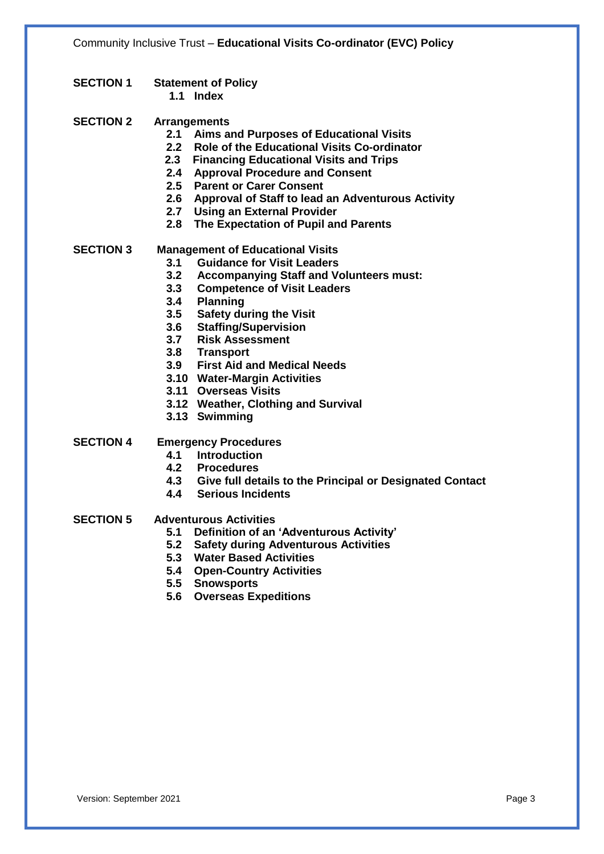- **SECTION 1 Statement of Policy 1.1 Index**
- **SECTION 2 Arrangements**
	- **2.1 Aims and Purposes of Educational Visits**
	- **2.2 Role of the Educational Visits Co-ordinator**
	- **2.3 Financing Educational Visits and Trips**
	- **2.4 Approval Procedure and Consent**
	- **2.5 Parent or Carer Consent**
	- **2.6 Approval of Staff to lead an Adventurous Activity**
	- **2.7 Using an External Provider**
	- **2.8 The Expectation of Pupil and Parents**
- **SECTION 3 Management of Educational Visits**
	- **3.1 Guidance for Visit Leaders**
		- **3.2 Accompanying Staff and Volunteers must:**
	- **3.3 Competence of Visit Leaders**
	- **3.4 Planning**
	- **3.5 Safety during the Visit**
	- **3.6 Staffing/Supervision**
	- **3.7 Risk Assessment**
	- **3.8 Transport**
	- **3.9 First Aid and Medical Needs**
	- **3.10 Water-Margin Activities**
	- **3.11 Overseas Visits**
	- **3.12 Weather, Clothing and Survival**
	- **3.13 Swimming**
- **SECTION 4 Emergency Procedures**
	- **4.1 Introduction**
	- **4.2 Procedures**
	- **4.3 Give full details to the Principal or Designated Contact**
	- **4.4 Serious Incidents**
- **SECTION 5 Adventurous Activities**
	- **5.1 Definition of an 'Adventurous Activity'**
	- **5.2 Safety during Adventurous Activities**
	- **5.3 Water Based Activities**
	- **5.4 Open-Country Activities**
	- **5.5 Snowsports**
	- **5.6 Overseas Expeditions**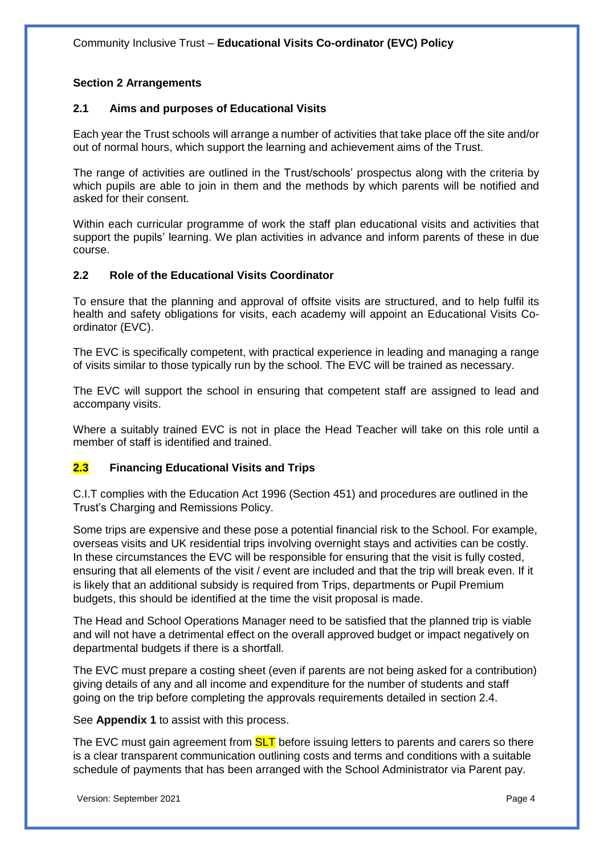## **Section 2 Arrangements**

## **2.1 Aims and purposes of Educational Visits**

Each year the Trust schools will arrange a number of activities that take place off the site and/or out of normal hours, which support the learning and achievement aims of the Trust.

The range of activities are outlined in the Trust/schools' prospectus along with the criteria by which pupils are able to join in them and the methods by which parents will be notified and asked for their consent.

Within each curricular programme of work the staff plan educational visits and activities that support the pupils' learning. We plan activities in advance and inform parents of these in due course.

## **2.2 Role of the Educational Visits Coordinator**

To ensure that the planning and approval of offsite visits are structured, and to help fulfil its health and safety obligations for visits, each academy will appoint an Educational Visits Coordinator (EVC).

The EVC is specifically competent, with practical experience in leading and managing a range of visits similar to those typically run by the school. The EVC will be trained as necessary.

The EVC will support the school in ensuring that competent staff are assigned to lead and accompany visits.

Where a suitably trained EVC is not in place the Head Teacher will take on this role until a member of staff is identified and trained.

## **2.3 Financing Educational Visits and Trips**

C.I.T complies with the Education Act 1996 (Section 451) and procedures are outlined in the Trust's Charging and Remissions Policy.

Some trips are expensive and these pose a potential financial risk to the School. For example, overseas visits and UK residential trips involving overnight stays and activities can be costly. In these circumstances the EVC will be responsible for ensuring that the visit is fully costed, ensuring that all elements of the visit / event are included and that the trip will break even. If it is likely that an additional subsidy is required from Trips, departments or Pupil Premium budgets, this should be identified at the time the visit proposal is made.

The Head and School Operations Manager need to be satisfied that the planned trip is viable and will not have a detrimental effect on the overall approved budget or impact negatively on departmental budgets if there is a shortfall.

The EVC must prepare a costing sheet (even if parents are not being asked for a contribution) giving details of any and all income and expenditure for the number of students and staff going on the trip before completing the approvals requirements detailed in section 2.4.

See **Appendix 1** to assist with this process.

The EVC must gain agreement from **SLT** before issuing letters to parents and carers so there is a clear transparent communication outlining costs and terms and conditions with a suitable schedule of payments that has been arranged with the School Administrator via Parent pay.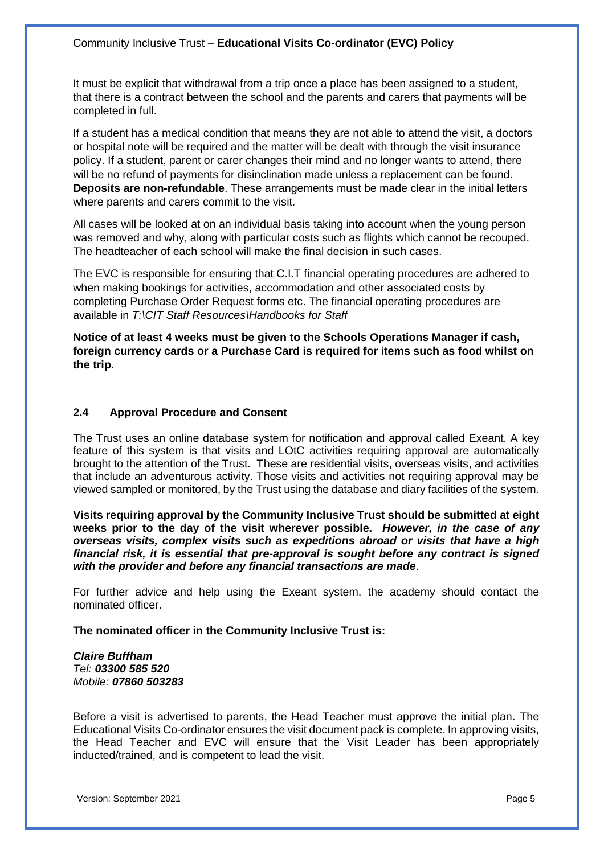It must be explicit that withdrawal from a trip once a place has been assigned to a student, that there is a contract between the school and the parents and carers that payments will be completed in full.

If a student has a medical condition that means they are not able to attend the visit, a doctors or hospital note will be required and the matter will be dealt with through the visit insurance policy. If a student, parent or carer changes their mind and no longer wants to attend, there will be no refund of payments for disinclination made unless a replacement can be found. **Deposits are non-refundable**. These arrangements must be made clear in the initial letters where parents and carers commit to the visit.

All cases will be looked at on an individual basis taking into account when the young person was removed and why, along with particular costs such as flights which cannot be recouped. The headteacher of each school will make the final decision in such cases.

The EVC is responsible for ensuring that C.I.T financial operating procedures are adhered to when making bookings for activities, accommodation and other associated costs by completing Purchase Order Request forms etc. The financial operating procedures are available in *T:\CIT Staff Resources\Handbooks for Staff*

**Notice of at least 4 weeks must be given to the Schools Operations Manager if cash, foreign currency cards or a Purchase Card is required for items such as food whilst on the trip.**

### **2.4 Approval Procedure and Consent**

The Trust uses an online database system for notification and approval called Exeant. A key feature of this system is that visits and LOtC activities requiring approval are automatically brought to the attention of the Trust. These are residential visits, overseas visits, and activities that include an adventurous activity. Those visits and activities not requiring approval may be viewed sampled or monitored, by the Trust using the database and diary facilities of the system.

**Visits requiring approval by the Community Inclusive Trust should be submitted at eight weeks prior to the day of the visit wherever possible.** *However, in the case of any overseas visits, complex visits such as expeditions abroad or visits that have a high financial risk, it is essential that pre-approval is sought before any contract is signed with the provider and before any financial transactions are made*.

For further advice and help using the Exeant system, the academy should contact the nominated officer.

**The nominated officer in the Community Inclusive Trust is:**

*Claire Buffham Tel: 03300 585 520 Mobile: 07860 503283*

Before a visit is advertised to parents, the Head Teacher must approve the initial plan. The Educational Visits Co-ordinator ensures the visit document pack is complete. In approving visits, the Head Teacher and EVC will ensure that the Visit Leader has been appropriately inducted/trained, and is competent to lead the visit.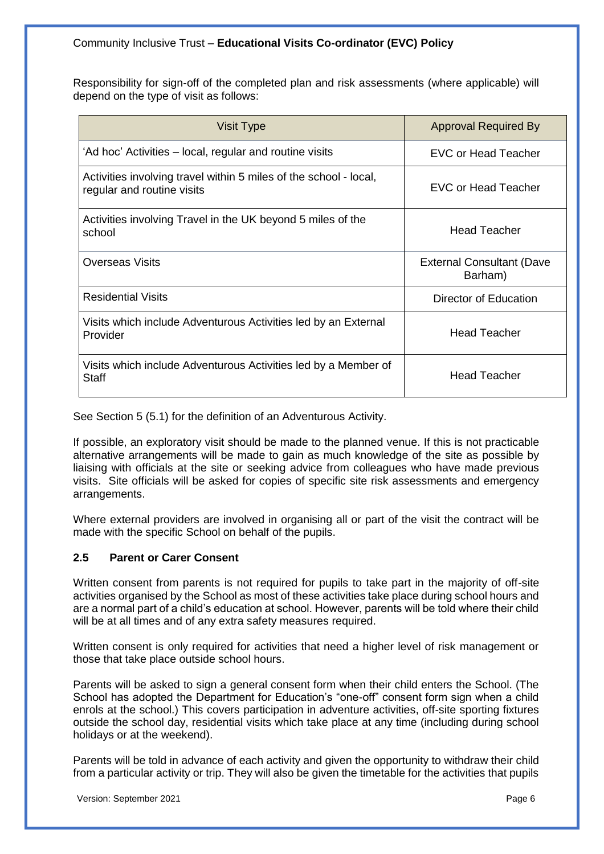Responsibility for sign-off of the completed plan and risk assessments (where applicable) will depend on the type of visit as follows:

| Visit Type                                                                                      | <b>Approval Required By</b>                 |
|-------------------------------------------------------------------------------------------------|---------------------------------------------|
| 'Ad hoc' Activities – local, regular and routine visits                                         | EVC or Head Teacher                         |
| Activities involving travel within 5 miles of the school - local,<br>regular and routine visits | <b>EVC or Head Teacher</b>                  |
| Activities involving Travel in the UK beyond 5 miles of the<br>school                           | <b>Head Teacher</b>                         |
| <b>Overseas Visits</b>                                                                          | <b>External Consultant (Dave</b><br>Barham) |
| <b>Residential Visits</b>                                                                       | Director of Education                       |
| Visits which include Adventurous Activities led by an External<br>Provider                      | <b>Head Teacher</b>                         |
| Visits which include Adventurous Activities led by a Member of<br>Staff                         | Head Teacher                                |

See Section 5 (5.1) for the definition of an Adventurous Activity.

If possible, an exploratory visit should be made to the planned venue. If this is not practicable alternative arrangements will be made to gain as much knowledge of the site as possible by liaising with officials at the site or seeking advice from colleagues who have made previous visits. Site officials will be asked for copies of specific site risk assessments and emergency arrangements.

Where external providers are involved in organising all or part of the visit the contract will be made with the specific School on behalf of the pupils.

## **2.5 Parent or Carer Consent**

Written consent from parents is not required for pupils to take part in the majority of off-site activities organised by the School as most of these activities take place during school hours and are a normal part of a child's education at school. However, parents will be told where their child will be at all times and of any extra safety measures required.

Written consent is only required for activities that need a higher level of risk management or those that take place outside school hours.

Parents will be asked to sign a general consent form when their child enters the School. (The School has adopted the Department for Education's "one-off" consent form sign when a child enrols at the school.) This covers participation in adventure activities, off-site sporting fixtures outside the school day, residential visits which take place at any time (including during school holidays or at the weekend).

Parents will be told in advance of each activity and given the opportunity to withdraw their child from a particular activity or trip. They will also be given the timetable for the activities that pupils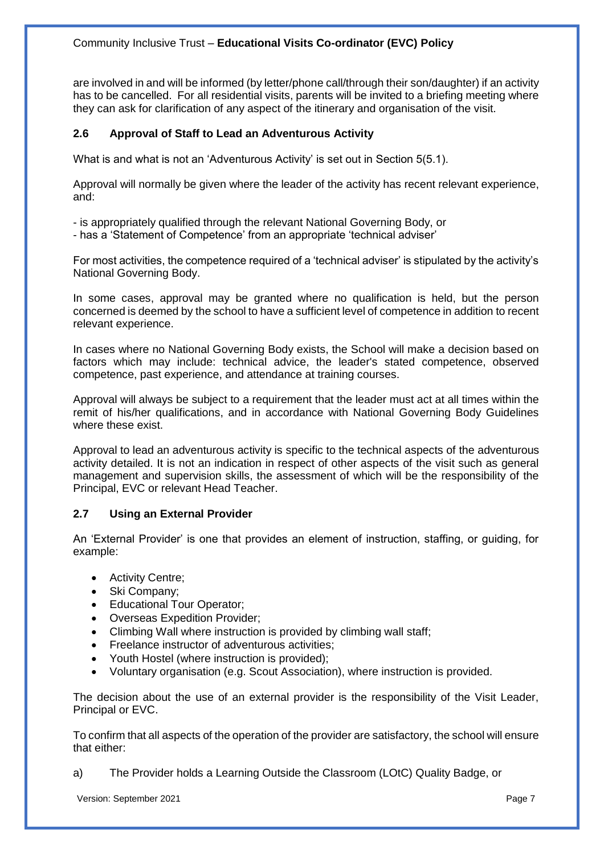are involved in and will be informed (by letter/phone call/through their son/daughter) if an activity has to be cancelled. For all residential visits, parents will be invited to a briefing meeting where they can ask for clarification of any aspect of the itinerary and organisation of the visit.

## **2.6 Approval of Staff to Lead an Adventurous Activity**

What is and what is not an 'Adventurous Activity' is set out in Section 5(5.1).

Approval will normally be given where the leader of the activity has recent relevant experience, and:

- is appropriately qualified through the relevant National Governing Body, or
- has a 'Statement of Competence' from an appropriate 'technical adviser'

For most activities, the competence required of a 'technical adviser' is stipulated by the activity's National Governing Body.

In some cases, approval may be granted where no qualification is held, but the person concerned is deemed by the school to have a sufficient level of competence in addition to recent relevant experience.

In cases where no National Governing Body exists, the School will make a decision based on factors which may include: technical advice, the leader's stated competence, observed competence, past experience, and attendance at training courses.

Approval will always be subject to a requirement that the leader must act at all times within the remit of his/her qualifications, and in accordance with National Governing Body Guidelines where these exist.

Approval to lead an adventurous activity is specific to the technical aspects of the adventurous activity detailed. It is not an indication in respect of other aspects of the visit such as general management and supervision skills, the assessment of which will be the responsibility of the Principal, EVC or relevant Head Teacher.

## **2.7 Using an External Provider**

An 'External Provider' is one that provides an element of instruction, staffing, or guiding, for example:

- Activity Centre;
- Ski Company;
- Educational Tour Operator;
- Overseas Expedition Provider;
- Climbing Wall where instruction is provided by climbing wall staff;
- Freelance instructor of adventurous activities;
- Youth Hostel (where instruction is provided);
- Voluntary organisation (e.g. Scout Association), where instruction is provided.

The decision about the use of an external provider is the responsibility of the Visit Leader, Principal or EVC.

To confirm that all aspects of the operation of the provider are satisfactory, the school will ensure that either:

a) The Provider holds a Learning Outside the Classroom (LOtC) Quality Badge, or

Version: September 2021 Page 7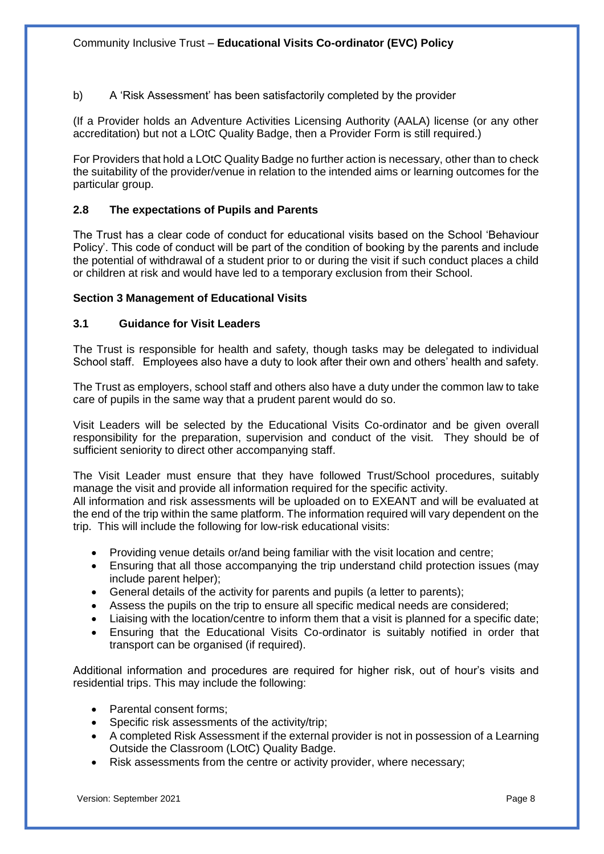b) A 'Risk Assessment' has been satisfactorily completed by the provider

(If a Provider holds an Adventure Activities Licensing Authority (AALA) license (or any other accreditation) but not a LOtC Quality Badge, then a Provider Form is still required.)

For Providers that hold a LOtC Quality Badge no further action is necessary, other than to check the suitability of the provider/venue in relation to the intended aims or learning outcomes for the particular group.

## **2.8 The expectations of Pupils and Parents**

The Trust has a clear code of conduct for educational visits based on the School 'Behaviour Policy'. This code of conduct will be part of the condition of booking by the parents and include the potential of withdrawal of a student prior to or during the visit if such conduct places a child or children at risk and would have led to a temporary exclusion from their School.

### **Section 3 Management of Educational Visits**

#### **3.1 Guidance for Visit Leaders**

The Trust is responsible for health and safety, though tasks may be delegated to individual School staff. Employees also have a duty to look after their own and others' health and safety.

The Trust as employers, school staff and others also have a duty under the common law to take care of pupils in the same way that a prudent parent would do so.

Visit Leaders will be selected by the Educational Visits Co-ordinator and be given overall responsibility for the preparation, supervision and conduct of the visit. They should be of sufficient seniority to direct other accompanying staff.

The Visit Leader must ensure that they have followed Trust/School procedures, suitably manage the visit and provide all information required for the specific activity.

All information and risk assessments will be uploaded on to EXEANT and will be evaluated at the end of the trip within the same platform. The information required will vary dependent on the trip. This will include the following for low-risk educational visits:

- Providing venue details or/and being familiar with the visit location and centre;
- Ensuring that all those accompanying the trip understand child protection issues (may include parent helper);
- General details of the activity for parents and pupils (a letter to parents);
- Assess the pupils on the trip to ensure all specific medical needs are considered;
- Liaising with the location/centre to inform them that a visit is planned for a specific date;
- Ensuring that the Educational Visits Co-ordinator is suitably notified in order that transport can be organised (if required).

Additional information and procedures are required for higher risk, out of hour's visits and residential trips. This may include the following:

- Parental consent forms:
- Specific risk assessments of the activity/trip;
- A completed Risk Assessment if the external provider is not in possession of a Learning Outside the Classroom (LOtC) Quality Badge.
- Risk assessments from the centre or activity provider, where necessary;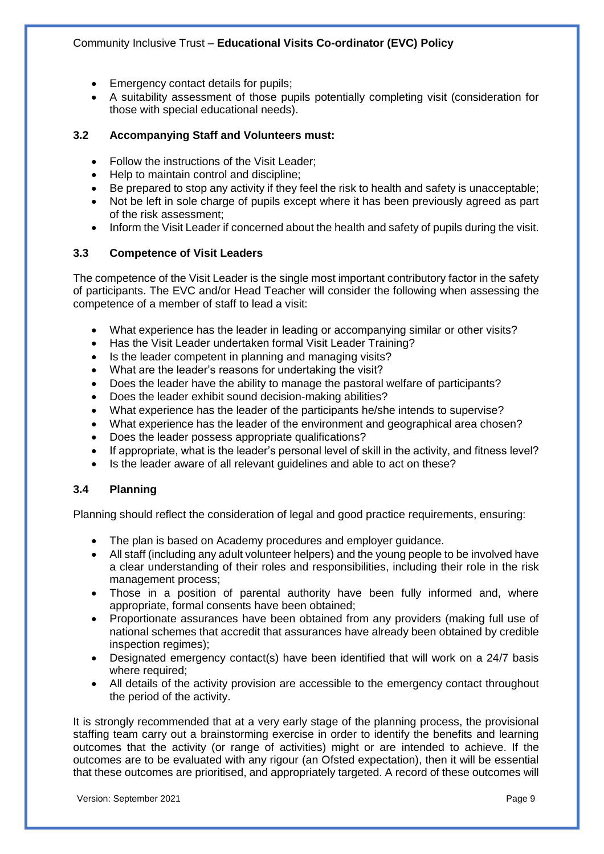- Emergency contact details for pupils;
- A suitability assessment of those pupils potentially completing visit (consideration for those with special educational needs).

### **3.2 Accompanying Staff and Volunteers must:**

- Follow the instructions of the Visit Leader;
- Help to maintain control and discipline:
- Be prepared to stop any activity if they feel the risk to health and safety is unacceptable;
- Not be left in sole charge of pupils except where it has been previously agreed as part of the risk assessment;
- Inform the Visit Leader if concerned about the health and safety of pupils during the visit.

### **3.3 Competence of Visit Leaders**

The competence of the Visit Leader is the single most important contributory factor in the safety of participants. The EVC and/or Head Teacher will consider the following when assessing the competence of a member of staff to lead a visit:

- What experience has the leader in leading or accompanying similar or other visits?
- Has the Visit Leader undertaken formal Visit Leader Training?
- Is the leader competent in planning and managing visits?
- What are the leader's reasons for undertaking the visit?
- Does the leader have the ability to manage the pastoral welfare of participants?
- Does the leader exhibit sound decision-making abilities?
- What experience has the leader of the participants he/she intends to supervise?
- What experience has the leader of the environment and geographical area chosen?
- Does the leader possess appropriate qualifications?
- If appropriate, what is the leader's personal level of skill in the activity, and fitness level?
- Is the leader aware of all relevant guidelines and able to act on these?

#### **3.4 Planning**

Planning should reflect the consideration of legal and good practice requirements, ensuring:

- The plan is based on Academy procedures and employer guidance.
- All staff (including any adult volunteer helpers) and the young people to be involved have a clear understanding of their roles and responsibilities, including their role in the risk management process;
- Those in a position of parental authority have been fully informed and, where appropriate, formal consents have been obtained;
- Proportionate assurances have been obtained from any providers (making full use of national schemes that accredit that assurances have already been obtained by credible inspection regimes);
- Designated emergency contact(s) have been identified that will work on a 24/7 basis where required;
- All details of the activity provision are accessible to the emergency contact throughout the period of the activity.

It is strongly recommended that at a very early stage of the planning process, the provisional staffing team carry out a brainstorming exercise in order to identify the benefits and learning outcomes that the activity (or range of activities) might or are intended to achieve. If the outcomes are to be evaluated with any rigour (an Ofsted expectation), then it will be essential that these outcomes are prioritised, and appropriately targeted. A record of these outcomes will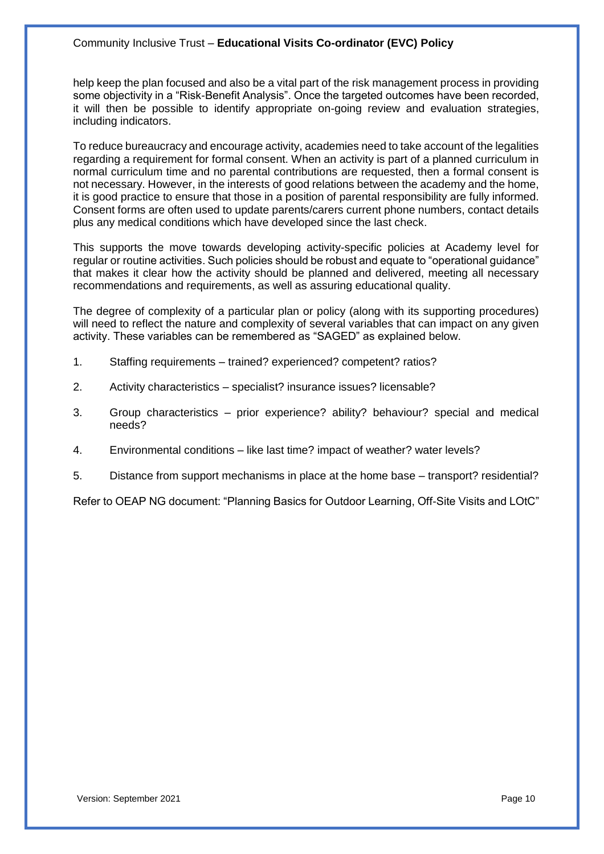help keep the plan focused and also be a vital part of the risk management process in providing some objectivity in a "Risk-Benefit Analysis". Once the targeted outcomes have been recorded, it will then be possible to identify appropriate on-going review and evaluation strategies, including indicators.

To reduce bureaucracy and encourage activity, academies need to take account of the legalities regarding a requirement for formal consent. When an activity is part of a planned curriculum in normal curriculum time and no parental contributions are requested, then a formal consent is not necessary. However, in the interests of good relations between the academy and the home, it is good practice to ensure that those in a position of parental responsibility are fully informed. Consent forms are often used to update parents/carers current phone numbers, contact details plus any medical conditions which have developed since the last check.

This supports the move towards developing activity-specific policies at Academy level for regular or routine activities. Such policies should be robust and equate to "operational guidance" that makes it clear how the activity should be planned and delivered, meeting all necessary recommendations and requirements, as well as assuring educational quality.

The degree of complexity of a particular plan or policy (along with its supporting procedures) will need to reflect the nature and complexity of several variables that can impact on any given activity. These variables can be remembered as "SAGED" as explained below.

- 1. Staffing requirements trained? experienced? competent? ratios?
- 2. Activity characteristics specialist? insurance issues? licensable?
- 3. Group characteristics prior experience? ability? behaviour? special and medical needs?
- 4. Environmental conditions like last time? impact of weather? water levels?
- 5. Distance from support mechanisms in place at the home base transport? residential?

Refer to OEAP NG document: "Planning Basics for Outdoor Learning, Off-Site Visits and LOtC"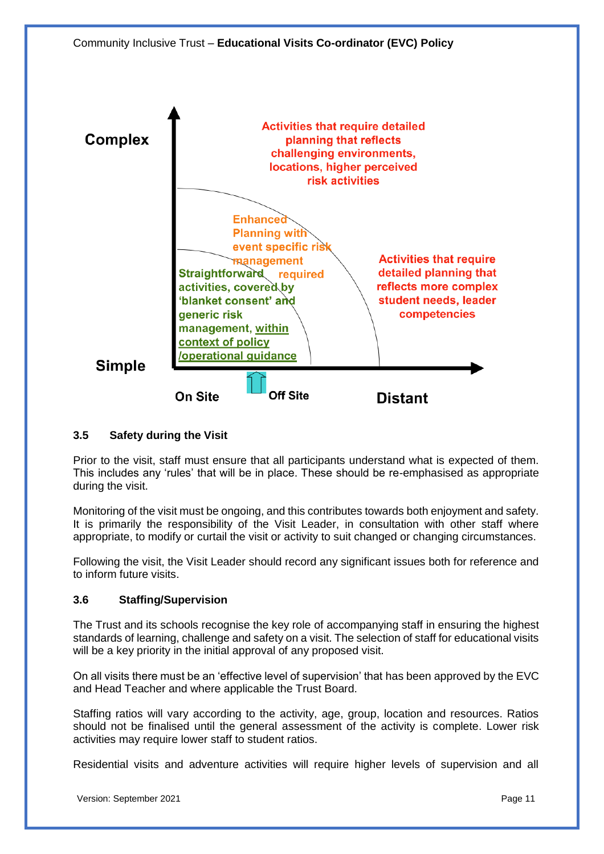

## **3.5 Safety during the Visit**

Prior to the visit, staff must ensure that all participants understand what is expected of them. This includes any 'rules' that will be in place. These should be re-emphasised as appropriate during the visit.

Monitoring of the visit must be ongoing, and this contributes towards both enjoyment and safety. It is primarily the responsibility of the Visit Leader, in consultation with other staff where appropriate, to modify or curtail the visit or activity to suit changed or changing circumstances.

Following the visit, the Visit Leader should record any significant issues both for reference and to inform future visits.

## **3.6 Staffing/Supervision**

The Trust and its schools recognise the key role of accompanying staff in ensuring the highest standards of learning, challenge and safety on a visit. The selection of staff for educational visits will be a key priority in the initial approval of any proposed visit.

On all visits there must be an 'effective level of supervision' that has been approved by the EVC and Head Teacher and where applicable the Trust Board.

Staffing ratios will vary according to the activity, age, group, location and resources. Ratios should not be finalised until the general assessment of the activity is complete. Lower risk activities may require lower staff to student ratios.

Residential visits and adventure activities will require higher levels of supervision and all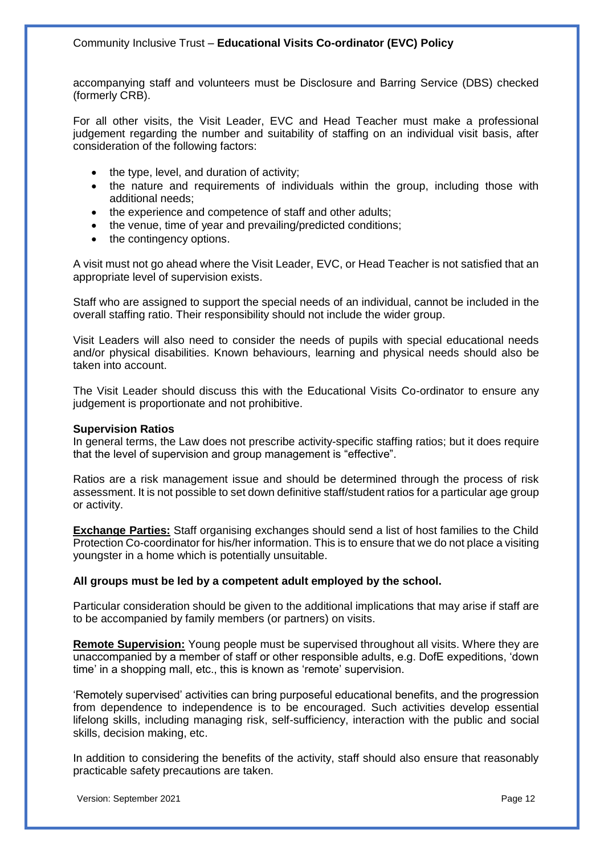accompanying staff and volunteers must be Disclosure and Barring Service (DBS) checked (formerly CRB).

For all other visits, the Visit Leader, EVC and Head Teacher must make a professional judgement regarding the number and suitability of staffing on an individual visit basis, after consideration of the following factors:

- the type, level, and duration of activity;
- the nature and requirements of individuals within the group, including those with additional needs;
- the experience and competence of staff and other adults;
- the venue, time of year and prevailing/predicted conditions;
- the contingency options.

A visit must not go ahead where the Visit Leader, EVC, or Head Teacher is not satisfied that an appropriate level of supervision exists.

Staff who are assigned to support the special needs of an individual, cannot be included in the overall staffing ratio. Their responsibility should not include the wider group.

Visit Leaders will also need to consider the needs of pupils with special educational needs and/or physical disabilities. Known behaviours, learning and physical needs should also be taken into account.

The Visit Leader should discuss this with the Educational Visits Co-ordinator to ensure any judgement is proportionate and not prohibitive.

#### **Supervision Ratios**

In general terms, the Law does not prescribe activity-specific staffing ratios; but it does require that the level of supervision and group management is "effective".

Ratios are a risk management issue and should be determined through the process of risk assessment. It is not possible to set down definitive staff/student ratios for a particular age group or activity.

**Exchange Parties:** Staff organising exchanges should send a list of host families to the Child Protection Co-coordinator for his/her information. This is to ensure that we do not place a visiting youngster in a home which is potentially unsuitable.

#### **All groups must be led by a competent adult employed by the school.**

Particular consideration should be given to the additional implications that may arise if staff are to be accompanied by family members (or partners) on visits.

**Remote Supervision:** Young people must be supervised throughout all visits. Where they are unaccompanied by a member of staff or other responsible adults, e.g. DofE expeditions, 'down time' in a shopping mall, etc., this is known as 'remote' supervision.

'Remotely supervised' activities can bring purposeful educational benefits, and the progression from dependence to independence is to be encouraged. Such activities develop essential lifelong skills, including managing risk, self-sufficiency, interaction with the public and social skills, decision making, etc.

In addition to considering the benefits of the activity, staff should also ensure that reasonably practicable safety precautions are taken.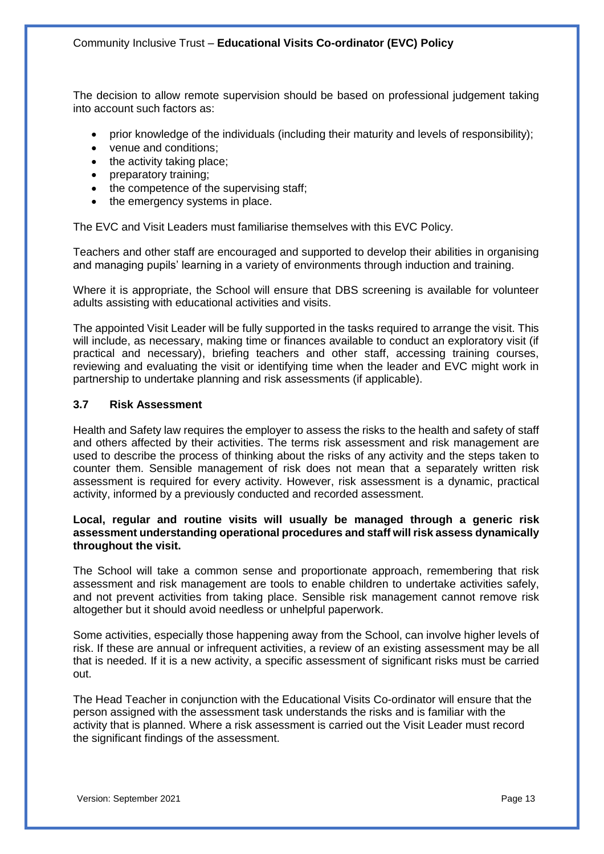The decision to allow remote supervision should be based on professional judgement taking into account such factors as:

- prior knowledge of the individuals (including their maturity and levels of responsibility);
- venue and conditions;
- the activity taking place;
- preparatory training;
- the competence of the supervising staff;
- the emergency systems in place.

The EVC and Visit Leaders must familiarise themselves with this EVC Policy.

Teachers and other staff are encouraged and supported to develop their abilities in organising and managing pupils' learning in a variety of environments through induction and training.

Where it is appropriate, the School will ensure that DBS screening is available for volunteer adults assisting with educational activities and visits.

The appointed Visit Leader will be fully supported in the tasks required to arrange the visit. This will include, as necessary, making time or finances available to conduct an exploratory visit (if practical and necessary), briefing teachers and other staff, accessing training courses, reviewing and evaluating the visit or identifying time when the leader and EVC might work in partnership to undertake planning and risk assessments (if applicable).

#### **3.7 Risk Assessment**

Health and Safety law requires the employer to assess the risks to the health and safety of staff and others affected by their activities. The terms risk assessment and risk management are used to describe the process of thinking about the risks of any activity and the steps taken to counter them. Sensible management of risk does not mean that a separately written risk assessment is required for every activity. However, risk assessment is a dynamic, practical activity, informed by a previously conducted and recorded assessment.

#### **Local, regular and routine visits will usually be managed through a generic risk assessment understanding operational procedures and staff will risk assess dynamically throughout the visit.**

The School will take a common sense and proportionate approach, remembering that risk assessment and risk management are tools to enable children to undertake activities safely, and not prevent activities from taking place. Sensible risk management cannot remove risk altogether but it should avoid needless or unhelpful paperwork.

Some activities, especially those happening away from the School, can involve higher levels of risk. If these are annual or infrequent activities, a review of an existing assessment may be all that is needed. If it is a new activity, a specific assessment of significant risks must be carried out.

The Head Teacher in conjunction with the Educational Visits Co-ordinator will ensure that the person assigned with the assessment task understands the risks and is familiar with the activity that is planned. Where a risk assessment is carried out the Visit Leader must record the significant findings of the assessment.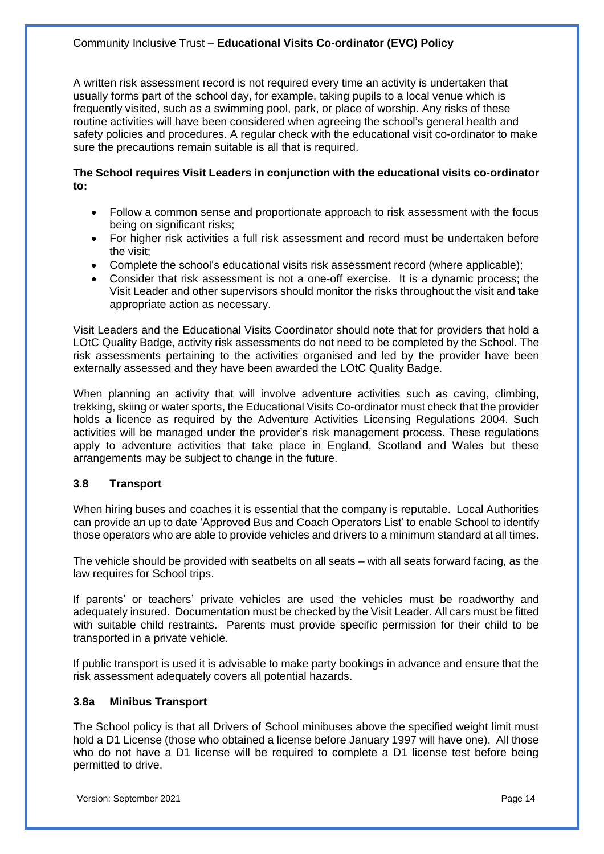A written risk assessment record is not required every time an activity is undertaken that usually forms part of the school day, for example, taking pupils to a local venue which is frequently visited, such as a swimming pool, park, or place of worship. Any risks of these routine activities will have been considered when agreeing the school's general health and safety policies and procedures. A regular check with the educational visit co-ordinator to make sure the precautions remain suitable is all that is required.

#### **The School requires Visit Leaders in conjunction with the educational visits co-ordinator to:**

- Follow a common sense and proportionate approach to risk assessment with the focus being on significant risks;
- For higher risk activities a full risk assessment and record must be undertaken before the visit;
- Complete the school's educational visits risk assessment record (where applicable);
- Consider that risk assessment is not a one-off exercise. It is a dynamic process; the Visit Leader and other supervisors should monitor the risks throughout the visit and take appropriate action as necessary.

Visit Leaders and the Educational Visits Coordinator should note that for providers that hold a LOtC Quality Badge, activity risk assessments do not need to be completed by the School. The risk assessments pertaining to the activities organised and led by the provider have been externally assessed and they have been awarded the LOtC Quality Badge.

When planning an activity that will involve adventure activities such as caving, climbing, trekking, skiing or water sports, the Educational Visits Co-ordinator must check that the provider holds a licence as required by the Adventure Activities Licensing Regulations 2004. Such activities will be managed under the provider's risk management process. These regulations apply to adventure activities that take place in England, Scotland and Wales but these arrangements may be subject to change in the future.

#### **3.8 Transport**

When hiring buses and coaches it is essential that the company is reputable. Local Authorities can provide an up to date 'Approved Bus and Coach Operators List' to enable School to identify those operators who are able to provide vehicles and drivers to a minimum standard at all times.

The vehicle should be provided with seatbelts on all seats – with all seats forward facing, as the law requires for School trips.

If parents' or teachers' private vehicles are used the vehicles must be roadworthy and adequately insured. Documentation must be checked by the Visit Leader. All cars must be fitted with suitable child restraints. Parents must provide specific permission for their child to be transported in a private vehicle.

If public transport is used it is advisable to make party bookings in advance and ensure that the risk assessment adequately covers all potential hazards.

#### **3.8a Minibus Transport**

The School policy is that all Drivers of School minibuses above the specified weight limit must hold a D1 License (those who obtained a license before January 1997 will have one). All those who do not have a D1 license will be required to complete a D1 license test before being permitted to drive.

Version: September 2021 **Page 14** Page 14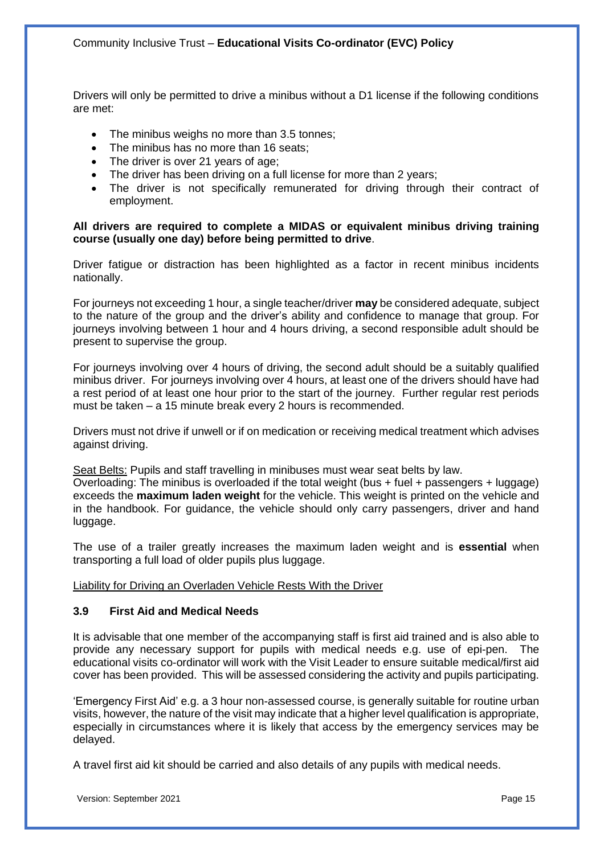Drivers will only be permitted to drive a minibus without a D1 license if the following conditions are met:

- The minibus weighs no more than 3.5 tonnes;
- The minibus has no more than 16 seats;
- The driver is over 21 years of age;
- The driver has been driving on a full license for more than 2 years;
- The driver is not specifically remunerated for driving through their contract of employment.

#### **All drivers are required to complete a MIDAS or equivalent minibus driving training course (usually one day) before being permitted to drive**.

Driver fatigue or distraction has been highlighted as a factor in recent minibus incidents nationally.

For journeys not exceeding 1 hour, a single teacher/driver **may** be considered adequate, subject to the nature of the group and the driver's ability and confidence to manage that group. For journeys involving between 1 hour and 4 hours driving, a second responsible adult should be present to supervise the group.

For journeys involving over 4 hours of driving, the second adult should be a suitably qualified minibus driver. For journeys involving over 4 hours, at least one of the drivers should have had a rest period of at least one hour prior to the start of the journey. Further regular rest periods must be taken – a 15 minute break every 2 hours is recommended.

Drivers must not drive if unwell or if on medication or receiving medical treatment which advises against driving.

Seat Belts: Pupils and staff travelling in minibuses must wear seat belts by law.

Overloading: The minibus is overloaded if the total weight (bus + fuel + passengers + luggage) exceeds the **maximum laden weight** for the vehicle. This weight is printed on the vehicle and in the handbook. For guidance, the vehicle should only carry passengers, driver and hand luggage.

The use of a trailer greatly increases the maximum laden weight and is **essential** when transporting a full load of older pupils plus luggage.

Liability for Driving an Overladen Vehicle Rests With the Driver

#### **3.9 First Aid and Medical Needs**

It is advisable that one member of the accompanying staff is first aid trained and is also able to provide any necessary support for pupils with medical needs e.g. use of epi-pen. The educational visits co-ordinator will work with the Visit Leader to ensure suitable medical/first aid cover has been provided. This will be assessed considering the activity and pupils participating.

'Emergency First Aid' e.g. a 3 hour non-assessed course, is generally suitable for routine urban visits, however, the nature of the visit may indicate that a higher level qualification is appropriate, especially in circumstances where it is likely that access by the emergency services may be delayed.

A travel first aid kit should be carried and also details of any pupils with medical needs.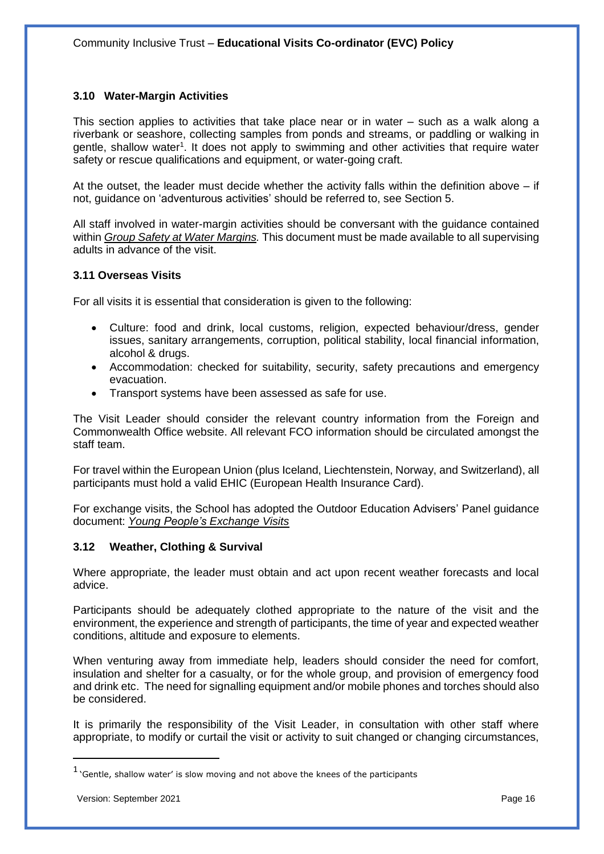## **3.10 Water-Margin Activities**

This section applies to activities that take place near or in water – such as a walk along a riverbank or seashore, collecting samples from ponds and streams, or paddling or walking in gentle, shallow water<sup>1</sup>. It does not apply to swimming and other activities that require water safety or rescue qualifications and equipment, or water-going craft.

At the outset, the leader must decide whether the activity falls within the definition above – if not, guidance on 'adventurous activities' should be referred to, see Section 5.

All staff involved in water-margin activities should be conversant with the guidance contained within *Group Safety at Water Margins.* This document must be made available to all supervising adults in advance of the visit.

#### **3.11 Overseas Visits**

For all visits it is essential that consideration is given to the following:

- Culture: food and drink, local customs, religion, expected behaviour/dress, gender issues, sanitary arrangements, corruption, political stability, local financial information, alcohol & drugs.
- Accommodation: checked for suitability, security, safety precautions and emergency evacuation.
- Transport systems have been assessed as safe for use.

The Visit Leader should consider the relevant country information from the Foreign and Commonwealth Office website. All relevant FCO information should be circulated amongst the staff team.

For travel within the European Union (plus Iceland, Liechtenstein, Norway, and Switzerland), all participants must hold a valid EHIC (European Health Insurance Card).

For exchange visits, the School has adopted the Outdoor Education Advisers' Panel guidance document: *Young People's Exchange Visits*

#### **3.12 Weather, Clothing & Survival**

Where appropriate, the leader must obtain and act upon recent weather forecasts and local advice.

Participants should be adequately clothed appropriate to the nature of the visit and the environment, the experience and strength of participants, the time of year and expected weather conditions, altitude and exposure to elements.

When venturing away from immediate help, leaders should consider the need for comfort, insulation and shelter for a casualty, or for the whole group, and provision of emergency food and drink etc. The need for signalling equipment and/or mobile phones and torches should also be considered.

It is primarily the responsibility of the Visit Leader, in consultation with other staff where appropriate, to modify or curtail the visit or activity to suit changed or changing circumstances,

 $\overline{a}$ 

 $<sup>1</sup>$  'Gentle, shallow water' is slow moving and not above the knees of the participants</sup>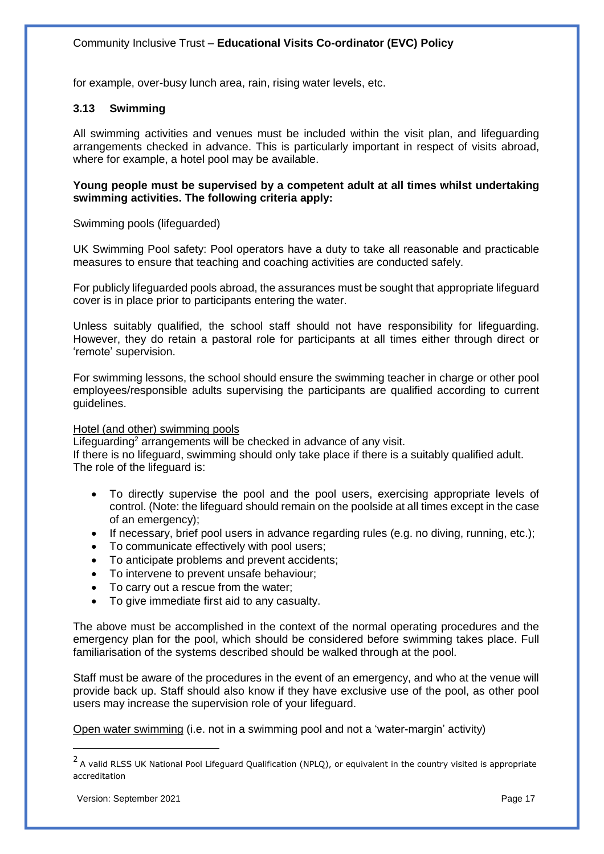for example, over-busy lunch area, rain, rising water levels, etc.

## **3.13 Swimming**

All swimming activities and venues must be included within the visit plan, and lifeguarding arrangements checked in advance. This is particularly important in respect of visits abroad, where for example, a hotel pool may be available.

**Young people must be supervised by a competent adult at all times whilst undertaking swimming activities. The following criteria apply:**

Swimming pools (lifeguarded)

UK Swimming Pool safety: Pool operators have a duty to take all reasonable and practicable measures to ensure that teaching and coaching activities are conducted safely.

For publicly lifeguarded pools abroad, the assurances must be sought that appropriate lifeguard cover is in place prior to participants entering the water.

Unless suitably qualified, the school staff should not have responsibility for lifeguarding. However, they do retain a pastoral role for participants at all times either through direct or 'remote' supervision.

For swimming lessons, the school should ensure the swimming teacher in charge or other pool employees/responsible adults supervising the participants are qualified according to current guidelines.

#### Hotel (and other) swimming pools

Lifeguarding<sup>2</sup> arrangements will be checked in advance of any visit. If there is no lifeguard, swimming should only take place if there is a suitably qualified adult. The role of the lifeguard is:

- To directly supervise the pool and the pool users, exercising appropriate levels of control. (Note: the lifeguard should remain on the poolside at all times except in the case of an emergency);
- If necessary, brief pool users in advance regarding rules (e.g. no diving, running, etc.);
- To communicate effectively with pool users;
- To anticipate problems and prevent accidents;
- To intervene to prevent unsafe behaviour;
- To carry out a rescue from the water;
- To give immediate first aid to any casualty.

The above must be accomplished in the context of the normal operating procedures and the emergency plan for the pool, which should be considered before swimming takes place. Full familiarisation of the systems described should be walked through at the pool.

Staff must be aware of the procedures in the event of an emergency, and who at the venue will provide back up. Staff should also know if they have exclusive use of the pool, as other pool users may increase the supervision role of your lifeguard.

Open water swimming (i.e. not in a swimming pool and not a 'water-margin' activity)

 $\overline{a}$ 

<sup>&</sup>lt;sup>2</sup> A valid RLSS UK National Pool Lifeguard Qualification (NPLQ), or equivalent in the country visited is appropriate accreditation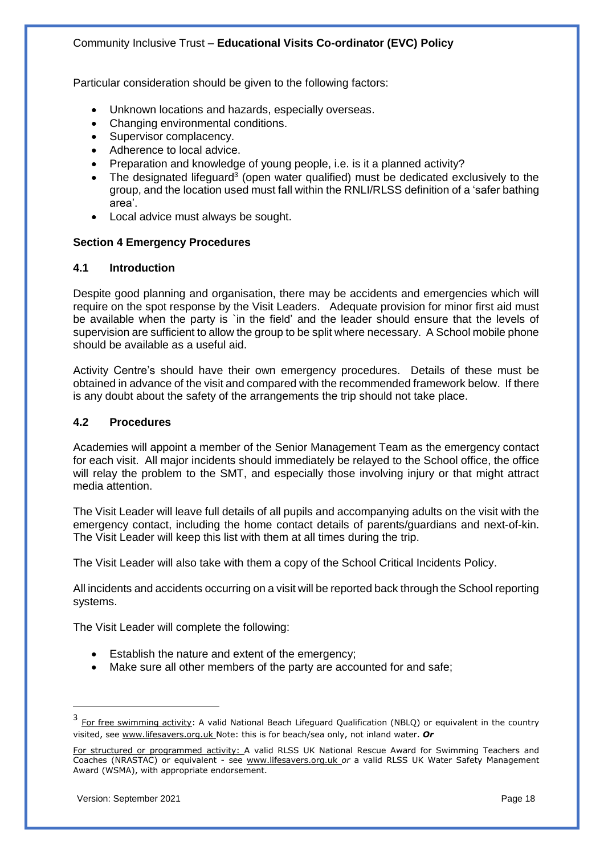Particular consideration should be given to the following factors:

- Unknown locations and hazards, especially overseas.
- Changing environmental conditions.
- Supervisor complacency.
- Adherence to local advice.
- Preparation and knowledge of young people, i.e. is it a planned activity?
- $\bullet$  The designated lifeguard<sup>3</sup> (open water qualified) must be dedicated exclusively to the group, and the location used must fall within the RNLI/RLSS definition of a 'safer bathing area'.
- Local advice must always be sought.

### **Section 4 Emergency Procedures**

#### **4.1 Introduction**

Despite good planning and organisation, there may be accidents and emergencies which will require on the spot response by the Visit Leaders. Adequate provision for minor first aid must be available when the party is `in the field' and the leader should ensure that the levels of supervision are sufficient to allow the group to be split where necessary. A School mobile phone should be available as a useful aid.

Activity Centre's should have their own emergency procedures. Details of these must be obtained in advance of the visit and compared with the recommended framework below. If there is any doubt about the safety of the arrangements the trip should not take place.

#### **4.2 Procedures**

Academies will appoint a member of the Senior Management Team as the emergency contact for each visit. All major incidents should immediately be relayed to the School office, the office will relay the problem to the SMT, and especially those involving injury or that might attract media attention.

The Visit Leader will leave full details of all pupils and accompanying adults on the visit with the emergency contact, including the home contact details of parents/guardians and next-of-kin. The Visit Leader will keep this list with them at all times during the trip.

The Visit Leader will also take with them a copy of the School Critical Incidents Policy.

All incidents and accidents occurring on a visit will be reported back through the School reporting systems.

The Visit Leader will complete the following:

- Establish the nature and extent of the emergency;
- Make sure all other members of the party are accounted for and safe;

 $\overline{\phantom{a}}$ 

<sup>3&</sup>lt;br>**For free swimming activity:** A valid National Beach Lifeguard Qualification (NBLQ) or equivalent in the country visited, see www.lifesavers.org.uk Note: this is for beach/sea only, not inland water. *Or*

For structured or programmed activity: A valid RLSS UK National Rescue Award for Swimming Teachers and Coaches (NRASTAC) or equivalent - see www.lifesavers.org.uk *or* a valid RLSS UK Water Safety Management Award (WSMA), with appropriate endorsement.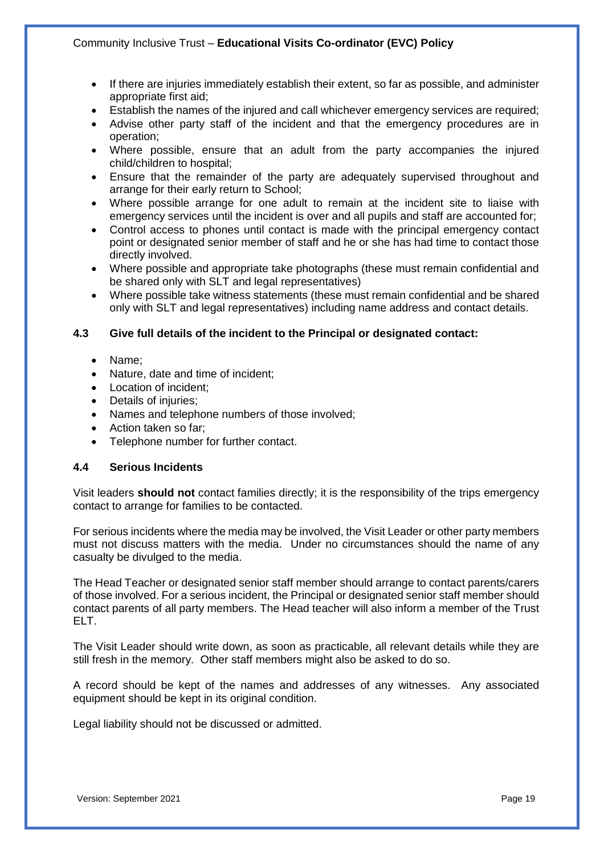- If there are injuries immediately establish their extent, so far as possible, and administer appropriate first aid;
- Establish the names of the injured and call whichever emergency services are required;
- Advise other party staff of the incident and that the emergency procedures are in operation;
- Where possible, ensure that an adult from the party accompanies the injured child/children to hospital;
- Ensure that the remainder of the party are adequately supervised throughout and arrange for their early return to School;
- Where possible arrange for one adult to remain at the incident site to liaise with emergency services until the incident is over and all pupils and staff are accounted for;
- Control access to phones until contact is made with the principal emergency contact point or designated senior member of staff and he or she has had time to contact those directly involved.
- Where possible and appropriate take photographs (these must remain confidential and be shared only with SLT and legal representatives)
- Where possible take witness statements (these must remain confidential and be shared only with SLT and legal representatives) including name address and contact details.

## **4.3 Give full details of the incident to the Principal or designated contact:**

- Name;
- Nature, date and time of incident;
- Location of incident:
- Details of injuries;
- Names and telephone numbers of those involved;
- Action taken so far;
- Telephone number for further contact.

#### **4.4 Serious Incidents**

Visit leaders **should not** contact families directly; it is the responsibility of the trips emergency contact to arrange for families to be contacted.

For serious incidents where the media may be involved, the Visit Leader or other party members must not discuss matters with the media. Under no circumstances should the name of any casualty be divulged to the media.

The Head Teacher or designated senior staff member should arrange to contact parents/carers of those involved. For a serious incident, the Principal or designated senior staff member should contact parents of all party members. The Head teacher will also inform a member of the Trust ELT.

The Visit Leader should write down, as soon as practicable, all relevant details while they are still fresh in the memory. Other staff members might also be asked to do so.

A record should be kept of the names and addresses of any witnesses. Any associated equipment should be kept in its original condition.

Legal liability should not be discussed or admitted.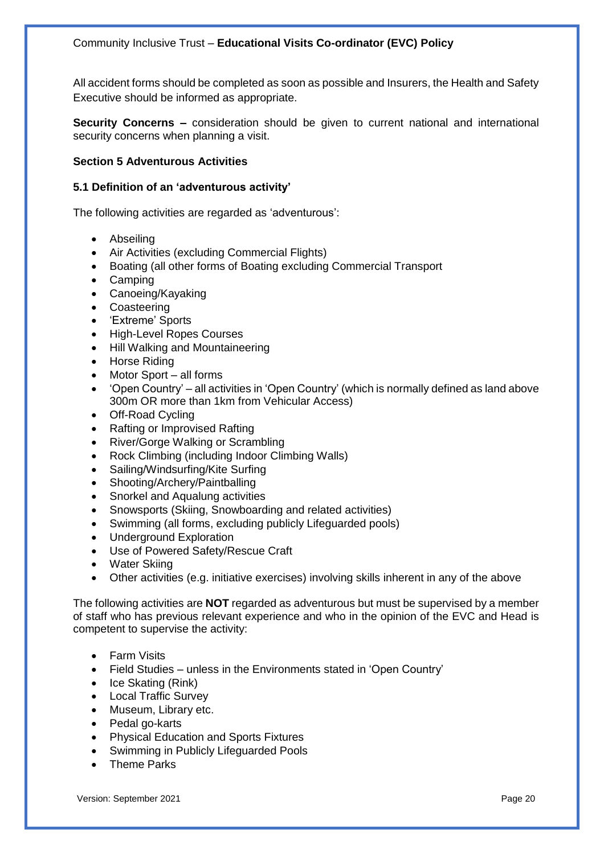All accident forms should be completed as soon as possible and Insurers, the Health and Safety Executive should be informed as appropriate.

**Security Concerns –** consideration should be given to current national and international security concerns when planning a visit.

## **Section 5 Adventurous Activities**

#### **5.1 Definition of an 'adventurous activity'**

The following activities are regarded as 'adventurous':

- Abseiling
- Air Activities (excluding Commercial Flights)
- Boating (all other forms of Boating excluding Commercial Transport
- Camping
- Canoeing/Kayaking
- **Coasteering**
- 'Extreme' Sports
- High-Level Ropes Courses
- Hill Walking and Mountaineering
- Horse Riding
- Motor Sport all forms
- 'Open Country' all activities in 'Open Country' (which is normally defined as land above 300m OR more than 1km from Vehicular Access)
- Off-Road Cycling
- Rafting or Improvised Rafting
- River/Gorge Walking or Scrambling
- Rock Climbing (including Indoor Climbing Walls)
- Sailing/Windsurfing/Kite Surfing
- Shooting/Archery/Paintballing
- Snorkel and Aqualung activities
- Snowsports (Skiing, Snowboarding and related activities)
- Swimming (all forms, excluding publicly Lifeguarded pools)
- Underground Exploration
- Use of Powered Safety/Rescue Craft
- Water Skiing
- Other activities (e.g. initiative exercises) involving skills inherent in any of the above

The following activities are **NOT** regarded as adventurous but must be supervised by a member of staff who has previous relevant experience and who in the opinion of the EVC and Head is competent to supervise the activity:

- Farm Visits
- Field Studies unless in the Environments stated in 'Open Country'
- Ice Skating (Rink)
- Local Traffic Survey
- Museum, Library etc.
- Pedal go-karts
- Physical Education and Sports Fixtures
- Swimming in Publicly Lifeguarded Pools
- Theme Parks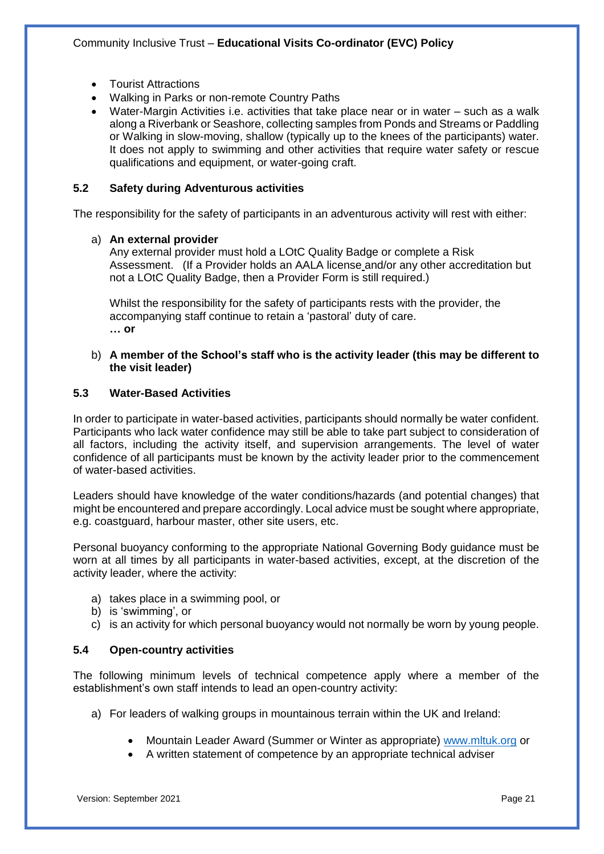- Tourist Attractions
- Walking in Parks or non-remote Country Paths
- Water-Margin Activities i.e. activities that take place near or in water such as a walk along a Riverbank or Seashore, collecting samples from Ponds and Streams or Paddling or Walking in slow-moving, shallow (typically up to the knees of the participants) water. It does not apply to swimming and other activities that require water safety or rescue qualifications and equipment, or water-going craft.

### **5.2 Safety during Adventurous activities**

The responsibility for the safety of participants in an adventurous activity will rest with either:

#### a) **An external provider**

Any external provider must hold a LOtC Quality Badge or complete a Risk Assessment. (If a Provider holds an AALA license and/or any other accreditation but not a LOtC Quality Badge, then a Provider Form is still required.)

Whilst the responsibility for the safety of participants rests with the provider, the accompanying staff continue to retain a 'pastoral' duty of care. **… or**

#### b) **A member of the School's staff who is the activity leader (this may be different to the visit leader)**

### **5.3 Water-Based Activities**

In order to participate in water-based activities, participants should normally be water confident. Participants who lack water confidence may still be able to take part subject to consideration of all factors, including the activity itself, and supervision arrangements. The level of water confidence of all participants must be known by the activity leader prior to the commencement of water-based activities.

Leaders should have knowledge of the water conditions/hazards (and potential changes) that might be encountered and prepare accordingly. Local advice must be sought where appropriate, e.g. coastguard, harbour master, other site users, etc.

Personal buoyancy conforming to the appropriate National Governing Body guidance must be worn at all times by all participants in water-based activities, except, at the discretion of the activity leader, where the activity:

- a) takes place in a swimming pool, or
- b) is 'swimming', or
- c) is an activity for which personal buoyancy would not normally be worn by young people.

## **5.4 Open-country activities**

The following minimum levels of technical competence apply where a member of the establishment's own staff intends to lead an open-country activity:

- a) For leaders of walking groups in mountainous terrain within the UK and Ireland:
	- Mountain Leader Award (Summer or Winter as appropriate) [www.mltuk.org](http://www.mltuk.org/) or
	- A written statement of competence by an appropriate technical adviser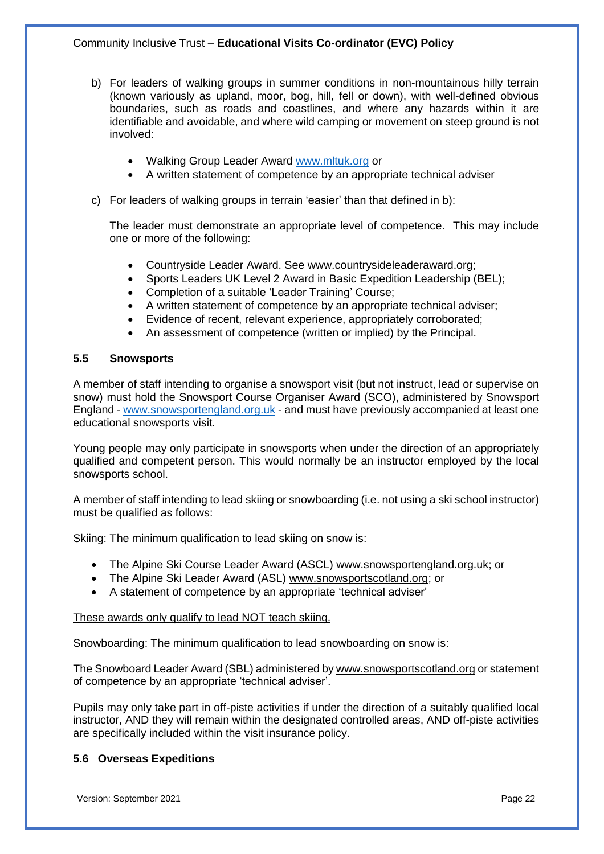- b) For leaders of walking groups in summer conditions in non-mountainous hilly terrain (known variously as upland, moor, bog, hill, fell or down), with well-defined obvious boundaries, such as roads and coastlines, and where any hazards within it are identifiable and avoidable, and where wild camping or movement on steep ground is not involved:
	- Walking Group Leader Award [www.mltuk.org](http://www.mltuk.org/) or
	- A written statement of competence by an appropriate technical adviser
- c) For leaders of walking groups in terrain 'easier' than that defined in b):

The leader must demonstrate an appropriate level of competence. This may include one or more of the following:

- Countryside Leader Award. See www.countrysideleaderaward.org;
- Sports Leaders UK Level 2 Award in Basic Expedition Leadership (BEL);
- Completion of a suitable 'Leader Training' Course;
- A written statement of competence by an appropriate technical adviser;
- Evidence of recent, relevant experience, appropriately corroborated;
- An assessment of competence (written or implied) by the Principal.

#### **5.5 Snowsports**

A member of staff intending to organise a snowsport visit (but not instruct, lead or supervise on snow) must hold the Snowsport Course Organiser Award (SCO), administered by Snowsport England - [www.snowsportengland.org.uk](http://www.snowsportengland.org.uk/) - and must have previously accompanied at least one educational snowsports visit.

Young people may only participate in snowsports when under the direction of an appropriately qualified and competent person. This would normally be an instructor employed by the local snowsports school.

A member of staff intending to lead skiing or snowboarding (i.e. not using a ski school instructor) must be qualified as follows:

Skiing: The minimum qualification to lead skiing on snow is:

- The Alpine Ski Course Leader Award (ASCL) [www.snowsportengland.org.uk;](http://www.snowsportengland.org.uk/) or
- The Alpine Ski Leader Award (ASL) [www.snowsportscotland.org;](file:///C:/Users/J.Bartrum/Downloads/www.snowsportscotland.org) or
- A statement of competence by an appropriate 'technical adviser'

#### These awards only qualify to lead NOT teach skiing.

Snowboarding: The minimum qualification to lead snowboarding on snow is:

The Snowboard Leader Award (SBL) administered by [www.snowsportscotland.org](http://www.snowsportscotland./) or statement of competence by an appropriate 'technical adviser'.

Pupils may only take part in off-piste activities if under the direction of a suitably qualified local instructor, AND they will remain within the designated controlled areas, AND off-piste activities are specifically included within the visit insurance policy.

## **5.6 Overseas Expeditions**

Version: September 2021 Page 22